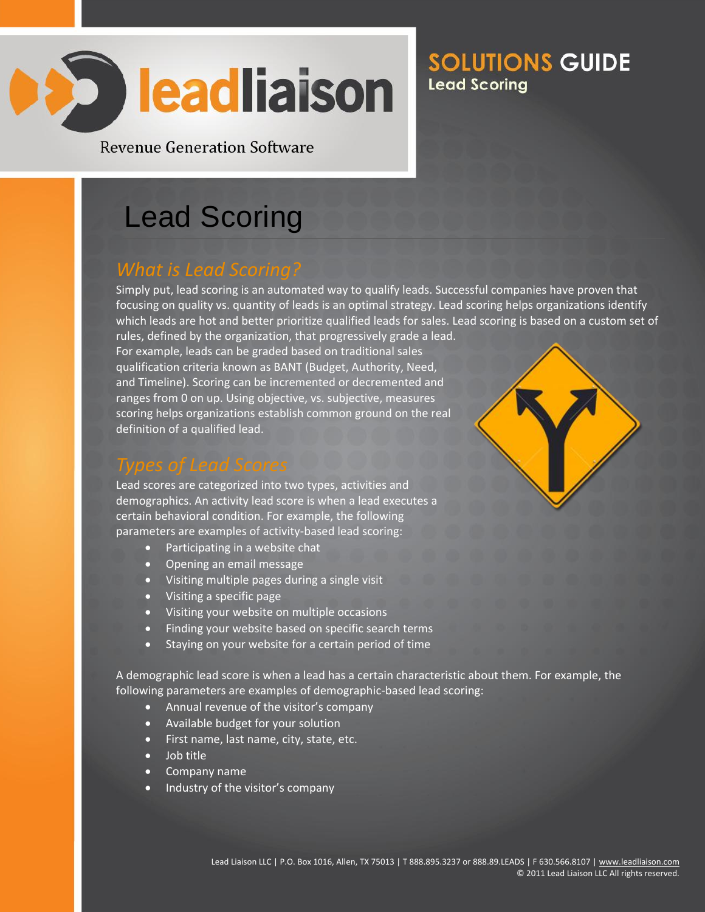

**Revenue Generation Software** 

# Lead Scoring

#### *What is Lead Scoring?*

Simply put, lead scoring is an automated way to qualify leads. Successful companies have proven that focusing on quality vs. quantity of leads is an optimal strategy. Lead scoring helps organizations identify which leads are hot and better prioritize qualified leads for sales. Lead scoring is based on a custom set of

rules, defined by the organization, that progressively grade a lead. For example, leads can be graded based on traditional sales qualification criteria known as BANT (Budget, Authority, Need, and Timeline). Scoring can be incremented or decremented and ranges from 0 on up. Using objective, vs. subjective, measures scoring helps organizations establish common ground on the real definition of a qualified lead.

#### *Types of Lead Scores*

Lead scores are categorized into two types, activities and demographics. An activity lead score is when a lead executes a certain behavioral condition. For example, the following parameters are examples of activity-based lead scoring:

- Participating in a website chat
- Opening an email message
- Visiting multiple pages during a single visit
- Visiting a specific page
- Visiting your website on multiple occasions
- Finding your website based on specific search terms
- Staying on your website for a certain period of time

A demographic lead score is when a lead has a certain characteristic about them. For example, the following parameters are examples of demographic-based lead scoring:

- Annual revenue of the visitor's company
- Available budget for your solution
- First name, last name, city, state, etc.
- Job title
- Company name
- Industry of the visitor's company

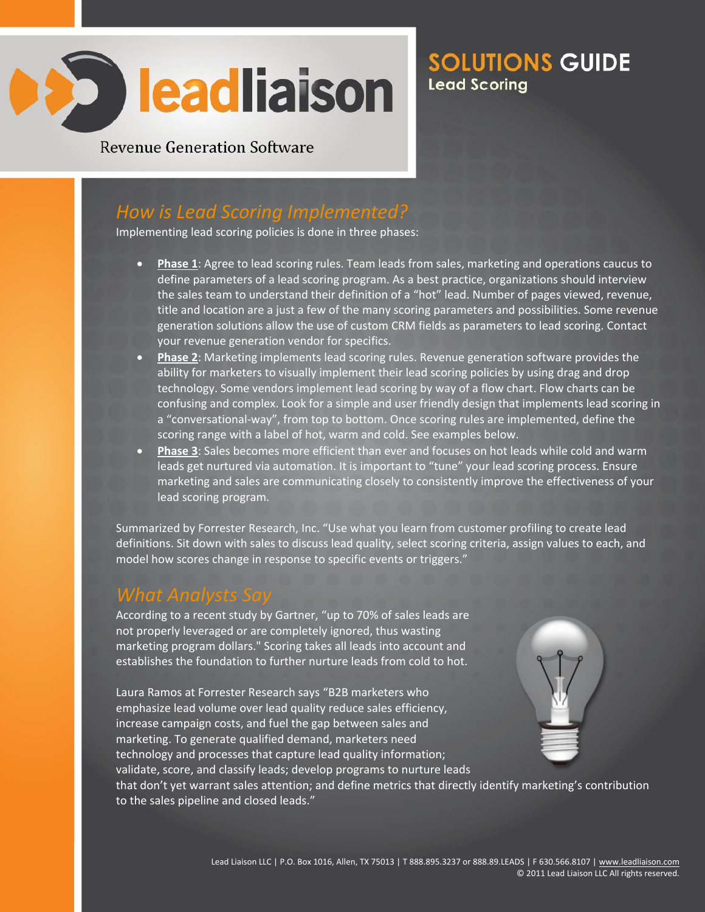

**Revenue Generation Software** 

#### *How is Lead Scoring Implemented?*

Implementing lead scoring policies is done in three phases:

- **Phase 1**: Agree to lead scoring rules. Team leads from sales, marketing and operations caucus to define parameters of a lead scoring program. As a best practice, organizations should interview the sales team to understand their definition of a "hot" lead. Number of pages viewed, revenue, title and location are a just a few of the many scoring parameters and possibilities. Some revenue generation solutions allow the use of custom CRM fields as parameters to lead scoring. Contact your revenue generation vendor for specifics.
- **Phase 2**: Marketing implements lead scoring rules. Revenue generation software provides the ability for marketers to visually implement their lead scoring policies by using drag and drop technology. Some vendors implement lead scoring by way of a flow chart. Flow charts can be confusing and complex. Look for a simple and user friendly design that implements lead scoring in a "conversational-way", from top to bottom. Once scoring rules are implemented, define the scoring range with a label of hot, warm and cold. See examples below.
- **Phase 3**: Sales becomes more efficient than ever and focuses on hot leads while cold and warm leads get nurtured via automation. It is important to "tune" your lead scoring process. Ensure marketing and sales are communicating closely to consistently improve the effectiveness of your lead scoring program.

Summarized by Forrester Research, Inc. "Use what you learn from customer profiling to create lead definitions. Sit down with sales to discuss lead quality, select scoring criteria, assign values to each, and model how scores change in response to specific events or triggers."

#### *What Analysts Say*

According to a recent study by Gartner, "up to 70% of sales leads are not properly leveraged or are completely ignored, thus wasting marketing program dollars." Scoring takes all leads into account and establishes the foundation to further nurture leads from cold to hot.

Laura Ramos at Forrester Research says "B2B marketers who emphasize lead volume over lead quality reduce sales efficiency, increase campaign costs, and fuel the gap between sales and marketing. To generate qualified demand, marketers need technology and processes that capture lead quality information; validate, score, and classify leads; develop programs to nurture leads



that don't yet warrant sales attention; and define metrics that directly identify marketing's contribution to the sales pipeline and closed leads."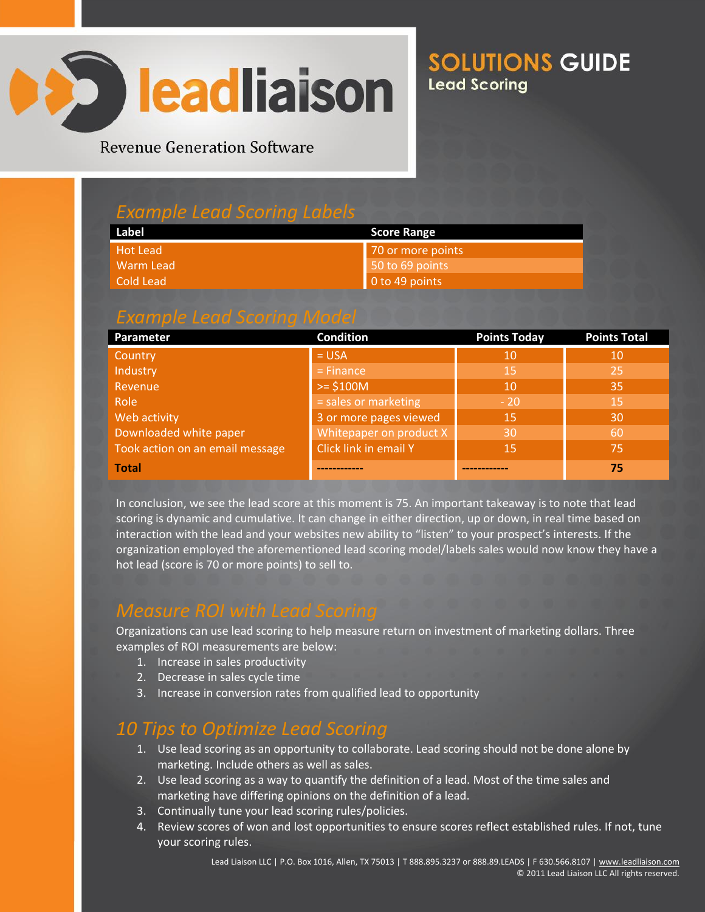

**Revenue Generation Software** 

#### *Example Lead Scoring Labels*

| Label           | <b>Score Range</b> |  |
|-----------------|--------------------|--|
| <b>Hot Lead</b> | 70 or more points  |  |
| Warm Lead       | 50 to 69 points    |  |
| Cold Lead       | 0 to 49 points     |  |

#### *Example Lead Scoring Model*

| Parameter                       | <b>Condition</b>        | <b>Points Today</b> | <b>Points Total</b> |
|---------------------------------|-------------------------|---------------------|---------------------|
| Country                         | $= USA$                 | 10                  | 10                  |
| Industry                        | $=$ Finance             | 15                  | 25                  |
| Revenue                         | $>= $100M$              | 10                  | 35                  |
| Role                            | sales or marketing      | $-20$               | 15                  |
| Web activity                    | 3 or more pages viewed  | '15                 | 30                  |
| Downloaded white paper          | Whitepaper on product X | 30                  | 60                  |
| Took action on an email message | Click link in email Y   | 15                  | 75                  |
| <b>Total</b>                    |                         |                     | 75                  |

In conclusion, we see the lead score at this moment is 75. An important takeaway is to note that lead scoring is dynamic and cumulative. It can change in either direction, up or down, in real time based on interaction with the lead and your websites new ability to "listen" to your prospect's interests. If the organization employed the aforementioned lead scoring model/labels sales would now know they have a hot lead (score is 70 or more points) to sell to.

#### *Measure ROI with Lead Scoring*

Organizations can use lead scoring to help measure return on investment of marketing dollars. Three examples of ROI measurements are below:

- 1. Increase in sales productivity
- 2. Decrease in sales cycle time
- 3. Increase in conversion rates from qualified lead to opportunity

#### *10 Tips to Optimize Lead Scoring*

- 1. Use lead scoring as an opportunity to collaborate. Lead scoring should not be done alone by marketing. Include others as well as sales.
- 2. Use lead scoring as a way to quantify the definition of a lead. Most of the time sales and marketing have differing opinions on the definition of a lead.
- 3. Continually tune your lead scoring rules/policies.
- 4. Review scores of won and lost opportunities to ensure scores reflect established rules. If not, tune your scoring rules.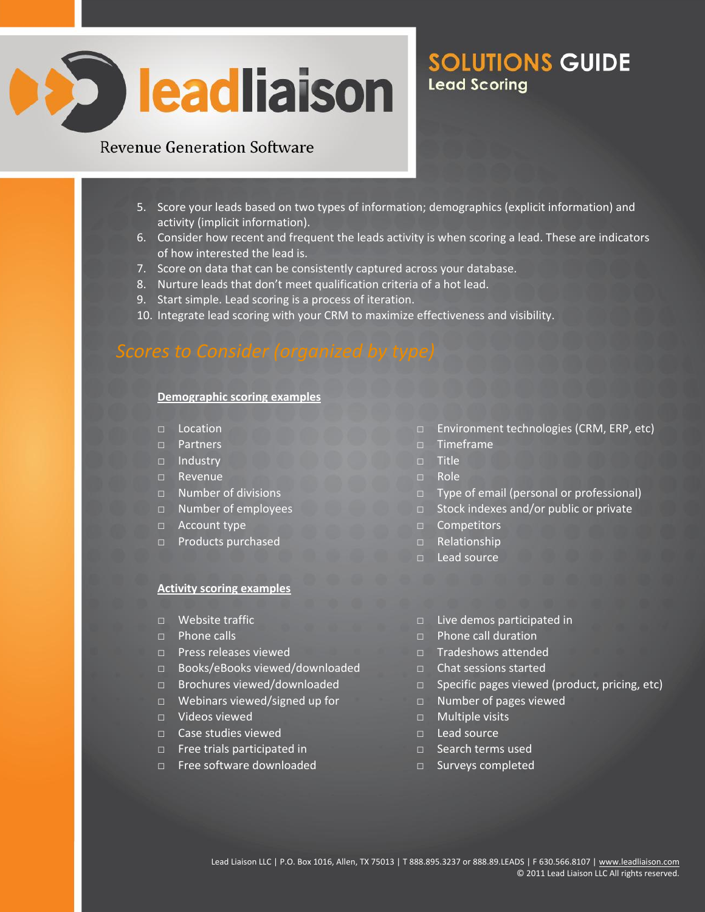

#### **Revenue Generation Software**

- 5. Score your leads based on two types of information; demographics (explicit information) and activity (implicit information).
- 6. Consider how recent and frequent the leads activity is when scoring a lead. These are indicators of how interested the lead is.
- 7. Score on data that can be consistently captured across your database.
- 8. Nurture leads that don't meet qualification criteria of a hot lead.
- 9. Start simple. Lead scoring is a process of iteration.
- 10. Integrate lead scoring with your CRM to maximize effectiveness and visibility.

#### **Demographic scoring examples**

- □ Location
- □ Partners
- □ Industry
- □ Revenue
- □ Number of divisions
- □ Number of employees
- □ Account type
- □ Products purchased

#### **Activity scoring examples**

- □ Website traffic
- $\neg$  Phone calls
- □ Press releases viewed
- □ Books/eBooks viewed/downloaded
- □ Brochures viewed/downloaded
- □ Webinars viewed/signed up for
- □ Videos viewed
- □ Case studies viewed
- □ Free trials participated in
- □ Free software downloaded
- □ Environment technologies (CRM, ERP, etc)
- □ Timeframe
- □ Title
- □ Role
- □ Type of email (personal or professional)
- □ Stock indexes and/or public or private
- □ Competitors
- $\neg$  Relationship
- □ Lead source
- □ Live demos participated in
- □ Phone call duration
- □ Tradeshows attended
- □ Chat sessions started
- □ Specific pages viewed (product, pricing, etc)
- □ Number of pages viewed
- □ Multiple visits
- $\Box$  Lead source
- □ Search terms used
- □ Surveys completed